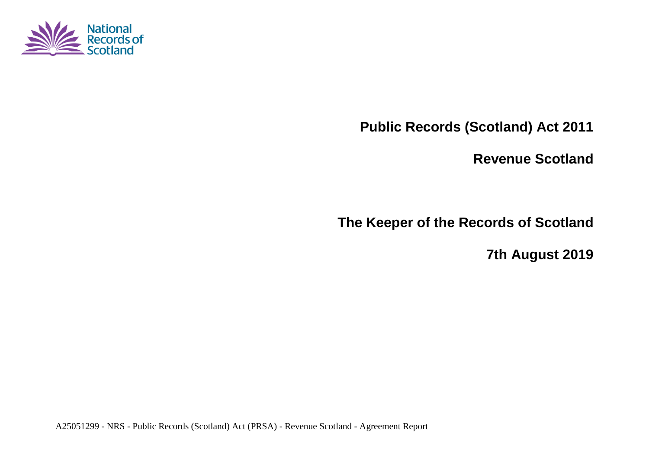

**Public Records (Scotland) Act 2011**

**Revenue Scotland**

**The Keeper of the Records of Scotland**

**7th August 2019**

A25051299 - NRS - Public Records (Scotland) Act (PRSA) - Revenue Scotland - Agreement Report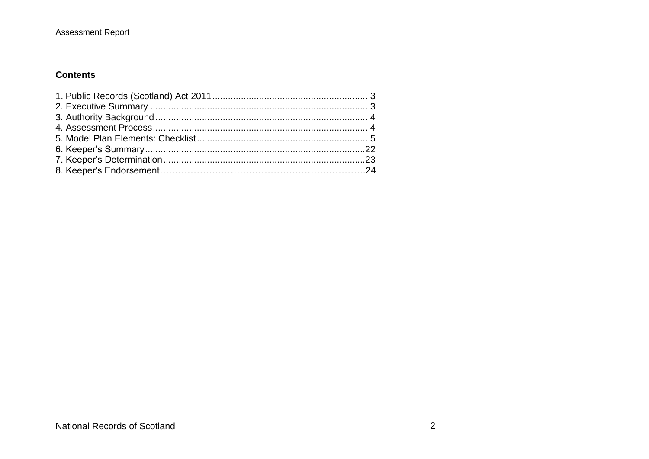#### **Contents**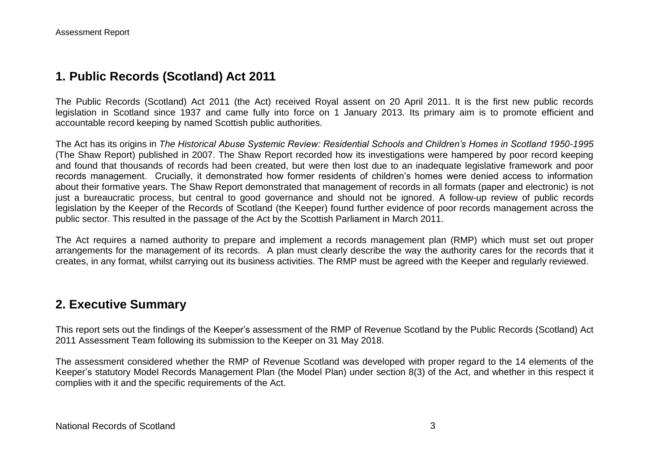### **1. Public Records (Scotland) Act 2011**

The Public Records (Scotland) Act 2011 (the Act) received Royal assent on 20 April 2011. It is the first new public records legislation in Scotland since 1937 and came fully into force on 1 January 2013. Its primary aim is to promote efficient and accountable record keeping by named Scottish public authorities.

The Act has its origins in *The Historical Abuse Systemic Review: Residential Schools and Children's Homes in Scotland 1950-1995* (The Shaw Report) published in 2007. The Shaw Report recorded how its investigations were hampered by poor record keeping and found that thousands of records had been created, but were then lost due to an inadequate legislative framework and poor records management. Crucially, it demonstrated how former residents of children's homes were denied access to information about their formative years. The Shaw Report demonstrated that management of records in all formats (paper and electronic) is not just a bureaucratic process, but central to good governance and should not be ignored. A follow-up review of public records legislation by the Keeper of the Records of Scotland (the Keeper) found further evidence of poor records management across the public sector. This resulted in the passage of the Act by the Scottish Parliament in March 2011.

The Act requires a named authority to prepare and implement a records management plan (RMP) which must set out proper arrangements for the management of its records. A plan must clearly describe the way the authority cares for the records that it creates, in any format, whilst carrying out its business activities. The RMP must be agreed with the Keeper and regularly reviewed.

#### **2. Executive Summary**

This report sets out the findings of the Keeper's assessment of the RMP of Revenue Scotland by the Public Records (Scotland) Act 2011 Assessment Team following its submission to the Keeper on 31 May 2018.

The assessment considered whether the RMP of Revenue Scotland was developed with proper regard to the 14 elements of the Keeper's statutory Model Records Management Plan (the Model Plan) under section 8(3) of the Act, and whether in this respect it complies with it and the specific requirements of the Act.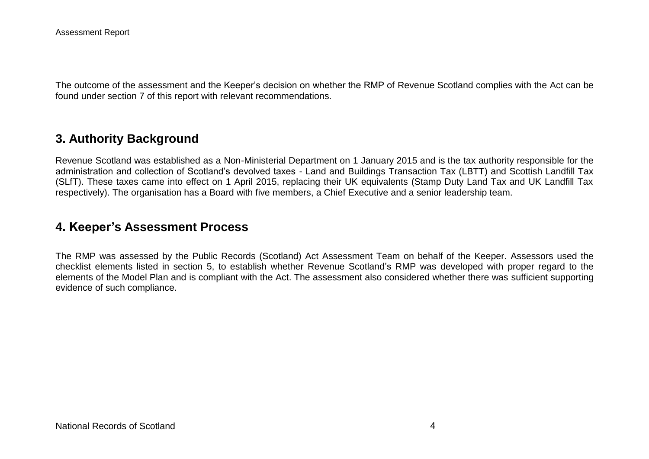The outcome of the assessment and the Keeper's decision on whether the RMP of Revenue Scotland complies with the Act can be found under section 7 of this report with relevant recommendations.

## **3. Authority Background**

Revenue Scotland was established as a Non-Ministerial Department on 1 January 2015 and is the tax authority responsible for the administration and collection of Scotland's devolved taxes - Land and Buildings Transaction Tax (LBTT) and Scottish Landfill Tax (SLfT). These taxes came into effect on 1 April 2015, replacing their UK equivalents (Stamp Duty Land Tax and UK Landfill Tax respectively). The organisation has a Board with five members, a Chief Executive and a senior leadership team.

#### **4. Keeper's Assessment Process**

The RMP was assessed by the Public Records (Scotland) Act Assessment Team on behalf of the Keeper. Assessors used the checklist elements listed in section 5, to establish whether Revenue Scotland's RMP was developed with proper regard to the elements of the Model Plan and is compliant with the Act. The assessment also considered whether there was sufficient supporting evidence of such compliance.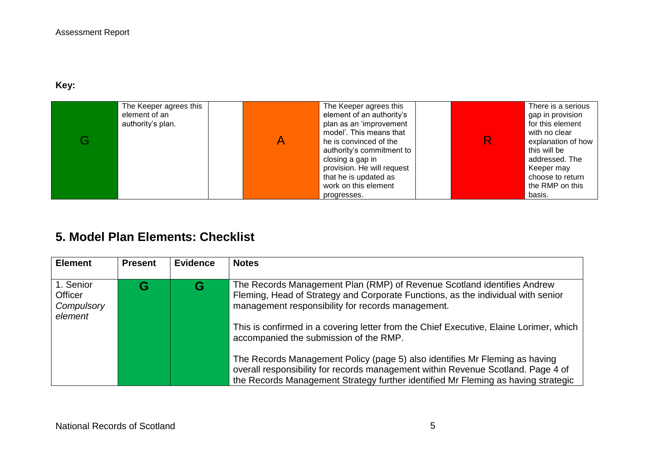#### **Key:**

| The Keeper agrees this<br>element of an<br>authority's plan. | The Keeper agrees this<br>element of an authority's<br>plan as an 'improvement<br>model'. This means that<br>he is convinced of the<br>authority's commitment to<br>closing a gap in<br>provision. He will request<br>that he is updated as<br>work on this element | R | There is a serious<br>gap in provision<br>for this element<br>with no clear<br>explanation of how<br>this will be<br>addressed. The<br>Keeper may<br>choose to return<br>the RMP on this |
|--------------------------------------------------------------|---------------------------------------------------------------------------------------------------------------------------------------------------------------------------------------------------------------------------------------------------------------------|---|------------------------------------------------------------------------------------------------------------------------------------------------------------------------------------------|
|                                                              | progresses.                                                                                                                                                                                                                                                         |   | basis.                                                                                                                                                                                   |

# **5. Model Plan Elements: Checklist**

| <b>Element</b>                                | <b>Present</b> | <b>Evidence</b> | <b>Notes</b>                                                                                                                                                                                                                                         |
|-----------------------------------------------|----------------|-----------------|------------------------------------------------------------------------------------------------------------------------------------------------------------------------------------------------------------------------------------------------------|
| 1. Senior<br>Officer<br>Compulsory<br>element |                |                 | The Records Management Plan (RMP) of Revenue Scotland identifies Andrew<br>Fleming, Head of Strategy and Corporate Functions, as the individual with senior<br>management responsibility for records management.                                     |
|                                               |                |                 | This is confirmed in a covering letter from the Chief Executive, Elaine Lorimer, which<br>accompanied the submission of the RMP.                                                                                                                     |
|                                               |                |                 | The Records Management Policy (page 5) also identifies Mr Fleming as having<br>overall responsibility for records management within Revenue Scotland. Page 4 of<br>the Records Management Strategy further identified Mr Fleming as having strategic |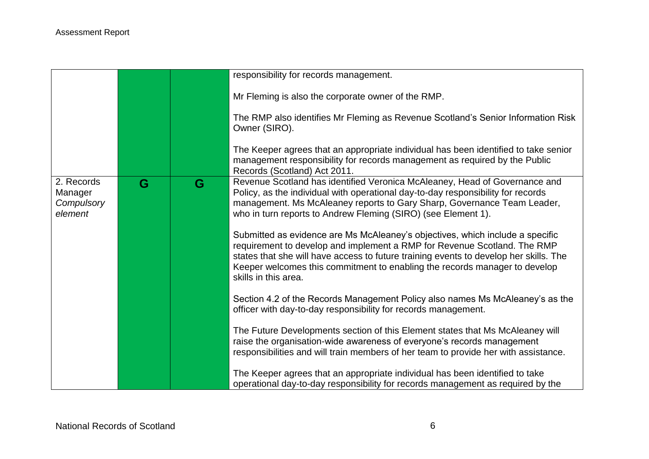|                                                |   |   | responsibility for records management.                                                                                                                                                                                                                                                                                                                   |
|------------------------------------------------|---|---|----------------------------------------------------------------------------------------------------------------------------------------------------------------------------------------------------------------------------------------------------------------------------------------------------------------------------------------------------------|
|                                                |   |   | Mr Fleming is also the corporate owner of the RMP.                                                                                                                                                                                                                                                                                                       |
|                                                |   |   | The RMP also identifies Mr Fleming as Revenue Scotland's Senior Information Risk<br>Owner (SIRO).                                                                                                                                                                                                                                                        |
|                                                |   |   | The Keeper agrees that an appropriate individual has been identified to take senior<br>management responsibility for records management as required by the Public<br>Records (Scotland) Act 2011.                                                                                                                                                        |
| 2. Records<br>Manager<br>Compulsory<br>element | G | G | Revenue Scotland has identified Veronica McAleaney, Head of Governance and<br>Policy, as the individual with operational day-to-day responsibility for records<br>management. Ms McAleaney reports to Gary Sharp, Governance Team Leader,<br>who in turn reports to Andrew Fleming (SIRO) (see Element 1).                                               |
|                                                |   |   | Submitted as evidence are Ms McAleaney's objectives, which include a specific<br>requirement to develop and implement a RMP for Revenue Scotland. The RMP<br>states that she will have access to future training events to develop her skills. The<br>Keeper welcomes this commitment to enabling the records manager to develop<br>skills in this area. |
|                                                |   |   | Section 4.2 of the Records Management Policy also names Ms McAleaney's as the<br>officer with day-to-day responsibility for records management.                                                                                                                                                                                                          |
|                                                |   |   | The Future Developments section of this Element states that Ms McAleaney will<br>raise the organisation-wide awareness of everyone's records management<br>responsibilities and will train members of her team to provide her with assistance.                                                                                                           |
|                                                |   |   | The Keeper agrees that an appropriate individual has been identified to take<br>operational day-to-day responsibility for records management as required by the                                                                                                                                                                                          |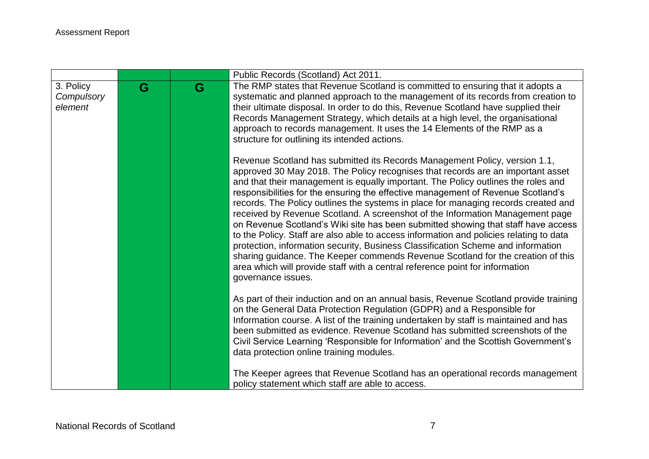|                                    |   |   | Public Records (Scotland) Act 2011.                                                                                                                                                                                                                                                                                                                                                                                                                                                                                                                                                                                                                                                                                                                                                                                                                                                                                                                                       |
|------------------------------------|---|---|---------------------------------------------------------------------------------------------------------------------------------------------------------------------------------------------------------------------------------------------------------------------------------------------------------------------------------------------------------------------------------------------------------------------------------------------------------------------------------------------------------------------------------------------------------------------------------------------------------------------------------------------------------------------------------------------------------------------------------------------------------------------------------------------------------------------------------------------------------------------------------------------------------------------------------------------------------------------------|
| 3. Policy<br>Compulsory<br>element | G | G | The RMP states that Revenue Scotland is committed to ensuring that it adopts a<br>systematic and planned approach to the management of its records from creation to<br>their ultimate disposal. In order to do this, Revenue Scotland have supplied their<br>Records Management Strategy, which details at a high level, the organisational<br>approach to records management. It uses the 14 Elements of the RMP as a<br>structure for outlining its intended actions.                                                                                                                                                                                                                                                                                                                                                                                                                                                                                                   |
|                                    |   |   | Revenue Scotland has submitted its Records Management Policy, version 1.1,<br>approved 30 May 2018. The Policy recognises that records are an important asset<br>and that their management is equally important. The Policy outlines the roles and<br>responsibilities for the ensuring the effective management of Revenue Scotland's<br>records. The Policy outlines the systems in place for managing records created and<br>received by Revenue Scotland. A screenshot of the Information Management page<br>on Revenue Scotland's Wiki site has been submitted showing that staff have access<br>to the Policy. Staff are also able to access information and policies relating to data<br>protection, information security, Business Classification Scheme and information<br>sharing guidance. The Keeper commends Revenue Scotland for the creation of this<br>area which will provide staff with a central reference point for information<br>governance issues. |
|                                    |   |   | As part of their induction and on an annual basis, Revenue Scotland provide training<br>on the General Data Protection Regulation (GDPR) and a Responsible for<br>Information course. A list of the training undertaken by staff is maintained and has<br>been submitted as evidence. Revenue Scotland has submitted screenshots of the<br>Civil Service Learning 'Responsible for Information' and the Scottish Government's<br>data protection online training modules.                                                                                                                                                                                                                                                                                                                                                                                                                                                                                                 |
|                                    |   |   | The Keeper agrees that Revenue Scotland has an operational records management<br>policy statement which staff are able to access.                                                                                                                                                                                                                                                                                                                                                                                                                                                                                                                                                                                                                                                                                                                                                                                                                                         |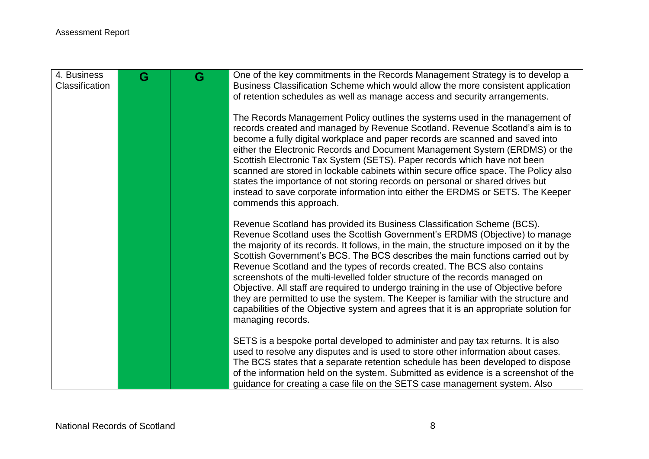| 4. Business<br>Classification | G | G | One of the key commitments in the Records Management Strategy is to develop a<br>Business Classification Scheme which would allow the more consistent application<br>of retention schedules as well as manage access and security arrangements.<br>The Records Management Policy outlines the systems used in the management of                                                                                                                                                                                                                                                                                                                                                                                                                                                                |
|-------------------------------|---|---|------------------------------------------------------------------------------------------------------------------------------------------------------------------------------------------------------------------------------------------------------------------------------------------------------------------------------------------------------------------------------------------------------------------------------------------------------------------------------------------------------------------------------------------------------------------------------------------------------------------------------------------------------------------------------------------------------------------------------------------------------------------------------------------------|
|                               |   |   | records created and managed by Revenue Scotland. Revenue Scotland's aim is to<br>become a fully digital workplace and paper records are scanned and saved into<br>either the Electronic Records and Document Management System (ERDMS) or the<br>Scottish Electronic Tax System (SETS). Paper records which have not been<br>scanned are stored in lockable cabinets within secure office space. The Policy also<br>states the importance of not storing records on personal or shared drives but<br>instead to save corporate information into either the ERDMS or SETS. The Keeper<br>commends this approach.                                                                                                                                                                                |
|                               |   |   | Revenue Scotland has provided its Business Classification Scheme (BCS).<br>Revenue Scotland uses the Scottish Government's ERDMS (Objective) to manage<br>the majority of its records. It follows, in the main, the structure imposed on it by the<br>Scottish Government's BCS. The BCS describes the main functions carried out by<br>Revenue Scotland and the types of records created. The BCS also contains<br>screenshots of the multi-levelled folder structure of the records managed on<br>Objective. All staff are required to undergo training in the use of Objective before<br>they are permitted to use the system. The Keeper is familiar with the structure and<br>capabilities of the Objective system and agrees that it is an appropriate solution for<br>managing records. |
|                               |   |   | SETS is a bespoke portal developed to administer and pay tax returns. It is also<br>used to resolve any disputes and is used to store other information about cases.<br>The BCS states that a separate retention schedule has been developed to dispose<br>of the information held on the system. Submitted as evidence is a screenshot of the<br>guidance for creating a case file on the SETS case management system. Also                                                                                                                                                                                                                                                                                                                                                                   |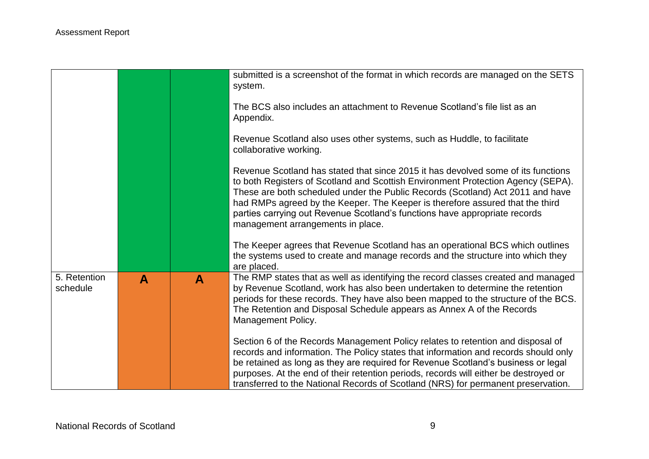|                          |   |              | submitted is a screenshot of the format in which records are managed on the SETS<br>system.                                                                                                                                                                                                                                                                                                                                                                 |
|--------------------------|---|--------------|-------------------------------------------------------------------------------------------------------------------------------------------------------------------------------------------------------------------------------------------------------------------------------------------------------------------------------------------------------------------------------------------------------------------------------------------------------------|
|                          |   |              | The BCS also includes an attachment to Revenue Scotland's file list as an<br>Appendix.                                                                                                                                                                                                                                                                                                                                                                      |
|                          |   |              | Revenue Scotland also uses other systems, such as Huddle, to facilitate<br>collaborative working.                                                                                                                                                                                                                                                                                                                                                           |
|                          |   |              | Revenue Scotland has stated that since 2015 it has devolved some of its functions<br>to both Registers of Scotland and Scottish Environment Protection Agency (SEPA).<br>These are both scheduled under the Public Records (Scotland) Act 2011 and have<br>had RMPs agreed by the Keeper. The Keeper is therefore assured that the third<br>parties carrying out Revenue Scotland's functions have appropriate records<br>management arrangements in place. |
|                          |   |              | The Keeper agrees that Revenue Scotland has an operational BCS which outlines<br>the systems used to create and manage records and the structure into which they<br>are placed.                                                                                                                                                                                                                                                                             |
| 5. Retention<br>schedule | A | $\mathbf{A}$ | The RMP states that as well as identifying the record classes created and managed<br>by Revenue Scotland, work has also been undertaken to determine the retention<br>periods for these records. They have also been mapped to the structure of the BCS.<br>The Retention and Disposal Schedule appears as Annex A of the Records<br>Management Policy.                                                                                                     |
|                          |   |              | Section 6 of the Records Management Policy relates to retention and disposal of<br>records and information. The Policy states that information and records should only<br>be retained as long as they are required for Revenue Scotland's business or legal<br>purposes. At the end of their retention periods, records will either be destroyed or<br>transferred to the National Records of Scotland (NRS) for permanent preservation.                    |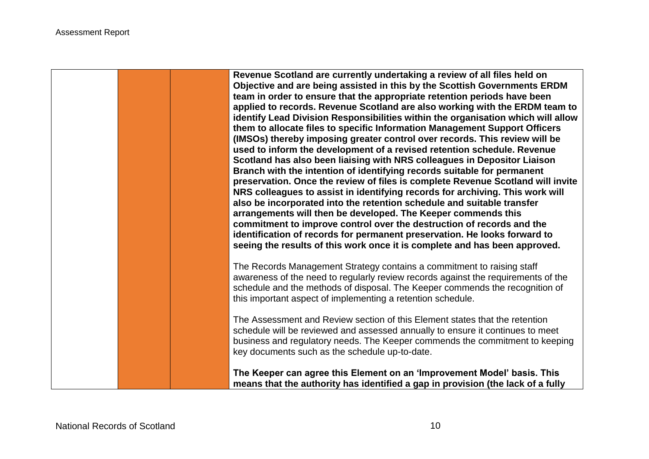**Revenue Scotland are currently undertaking a review of all files held on Objective and are being assisted in this by the Scottish Governments ERDM team in order to ensure that the appropriate retention periods have been applied to records. Revenue Scotland are also working with the ERDM team to identify Lead Division Responsibilities within the organisation which will allow them to allocate files to specific Information Management Support Officers (IMSOs) thereby imposing greater control over records. This review will be used to inform the development of a revised retention schedule. Revenue Scotland has also been liaising with NRS colleagues in Depositor Liaison Branch with the intention of identifying records suitable for permanent preservation. Once the review of files is complete Revenue Scotland will invite NRS colleagues to assist in identifying records for archiving. This work will also be incorporated into the retention schedule and suitable transfer arrangements will then be developed. The Keeper commends this commitment to improve control over the destruction of records and the identification of records for permanent preservation. He looks forward to seeing the results of this work once it is complete and has been approved.**

The Records Management Strategy contains a commitment to raising staff awareness of the need to regularly review records against the requirements of the schedule and the methods of disposal. The Keeper commends the recognition of this important aspect of implementing a retention schedule.

The Assessment and Review section of this Element states that the retention schedule will be reviewed and assessed annually to ensure it continues to meet business and regulatory needs. The Keeper commends the commitment to keeping key documents such as the schedule up-to-date.

**The Keeper can agree this Element on an 'Improvement Model' basis. This means that the authority has identified a gap in provision (the lack of a fully**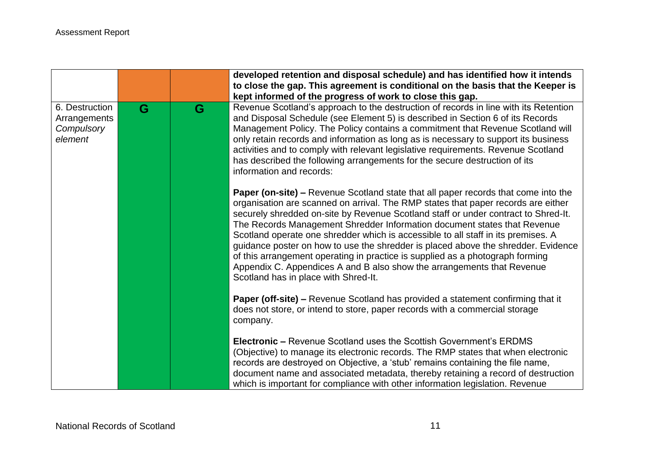|                                                         |   |   | developed retention and disposal schedule) and has identified how it intends<br>to close the gap. This agreement is conditional on the basis that the Keeper is<br>kept informed of the progress of work to close this gap.                                                                                                                                                                                                                                                                                                                                                                                                                                                                                                   |
|---------------------------------------------------------|---|---|-------------------------------------------------------------------------------------------------------------------------------------------------------------------------------------------------------------------------------------------------------------------------------------------------------------------------------------------------------------------------------------------------------------------------------------------------------------------------------------------------------------------------------------------------------------------------------------------------------------------------------------------------------------------------------------------------------------------------------|
| 6. Destruction<br>Arrangements<br>Compulsory<br>element | G | G | Revenue Scotland's approach to the destruction of records in line with its Retention<br>and Disposal Schedule (see Element 5) is described in Section 6 of its Records<br>Management Policy. The Policy contains a commitment that Revenue Scotland will<br>only retain records and information as long as is necessary to support its business<br>activities and to comply with relevant legislative requirements. Revenue Scotland<br>has described the following arrangements for the secure destruction of its<br>information and records:                                                                                                                                                                                |
|                                                         |   |   | <b>Paper (on-site) – Revenue Scotland state that all paper records that come into the</b><br>organisation are scanned on arrival. The RMP states that paper records are either<br>securely shredded on-site by Revenue Scotland staff or under contract to Shred-It.<br>The Records Management Shredder Information document states that Revenue<br>Scotland operate one shredder which is accessible to all staff in its premises. A<br>guidance poster on how to use the shredder is placed above the shredder. Evidence<br>of this arrangement operating in practice is supplied as a photograph forming<br>Appendix C. Appendices A and B also show the arrangements that Revenue<br>Scotland has in place with Shred-It. |
|                                                         |   |   | Paper (off-site) - Revenue Scotland has provided a statement confirming that it<br>does not store, or intend to store, paper records with a commercial storage<br>company.                                                                                                                                                                                                                                                                                                                                                                                                                                                                                                                                                    |
|                                                         |   |   | <b>Electronic – Revenue Scotland uses the Scottish Government's ERDMS</b><br>(Objective) to manage its electronic records. The RMP states that when electronic<br>records are destroyed on Objective, a 'stub' remains containing the file name,<br>document name and associated metadata, thereby retaining a record of destruction<br>which is important for compliance with other information legislation. Revenue                                                                                                                                                                                                                                                                                                         |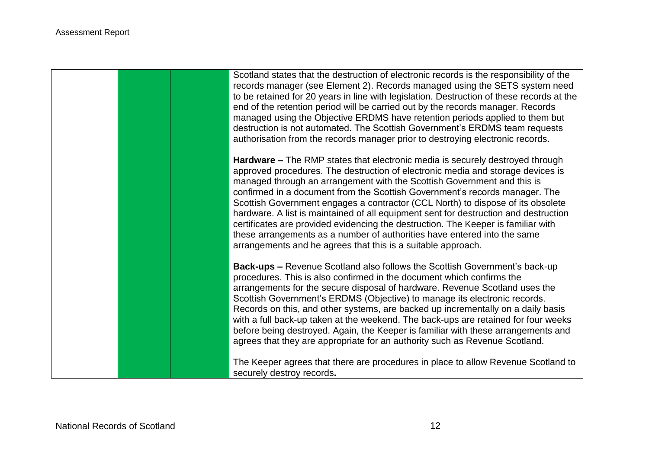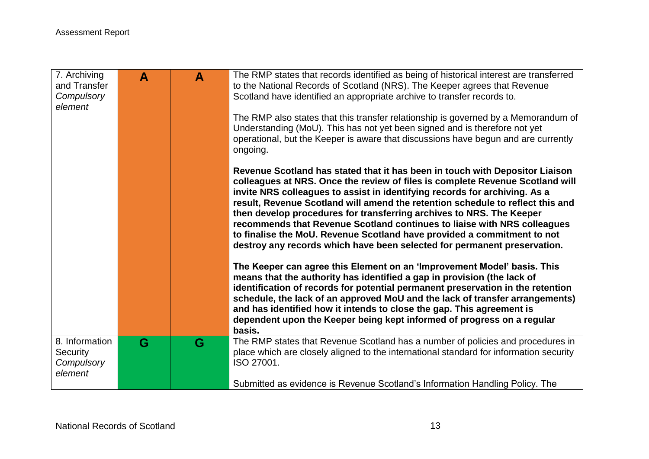| 7. Archiving<br>and Transfer<br>Compulsory<br>element | $\mathbf{A}$ | $\mathbf{A}$ | The RMP states that records identified as being of historical interest are transferred<br>to the National Records of Scotland (NRS). The Keeper agrees that Revenue<br>Scotland have identified an appropriate archive to transfer records to.<br>The RMP also states that this transfer relationship is governed by a Memorandum of<br>Understanding (MoU). This has not yet been signed and is therefore not yet<br>operational, but the Keeper is aware that discussions have begun and are currently<br>ongoing.<br>Revenue Scotland has stated that it has been in touch with Depositor Liaison                                                                                                                                                                                              |
|-------------------------------------------------------|--------------|--------------|---------------------------------------------------------------------------------------------------------------------------------------------------------------------------------------------------------------------------------------------------------------------------------------------------------------------------------------------------------------------------------------------------------------------------------------------------------------------------------------------------------------------------------------------------------------------------------------------------------------------------------------------------------------------------------------------------------------------------------------------------------------------------------------------------|
|                                                       |              |              | colleagues at NRS. Once the review of files is complete Revenue Scotland will<br>invite NRS colleagues to assist in identifying records for archiving. As a<br>result, Revenue Scotland will amend the retention schedule to reflect this and<br>then develop procedures for transferring archives to NRS. The Keeper<br>recommends that Revenue Scotland continues to liaise with NRS colleagues<br>to finalise the MoU. Revenue Scotland have provided a commitment to not<br>destroy any records which have been selected for permanent preservation.<br>The Keeper can agree this Element on an 'Improvement Model' basis. This<br>means that the authority has identified a gap in provision (the lack of<br>identification of records for potential permanent preservation in the retention |
|                                                       |              |              | schedule, the lack of an approved MoU and the lack of transfer arrangements)<br>and has identified how it intends to close the gap. This agreement is<br>dependent upon the Keeper being kept informed of progress on a regular<br>basis.                                                                                                                                                                                                                                                                                                                                                                                                                                                                                                                                                         |
| 8. Information<br>Security<br>Compulsory<br>element   | G            | G            | The RMP states that Revenue Scotland has a number of policies and procedures in<br>place which are closely aligned to the international standard for information security<br>ISO 27001.                                                                                                                                                                                                                                                                                                                                                                                                                                                                                                                                                                                                           |
|                                                       |              |              | Submitted as evidence is Revenue Scotland's Information Handling Policy. The                                                                                                                                                                                                                                                                                                                                                                                                                                                                                                                                                                                                                                                                                                                      |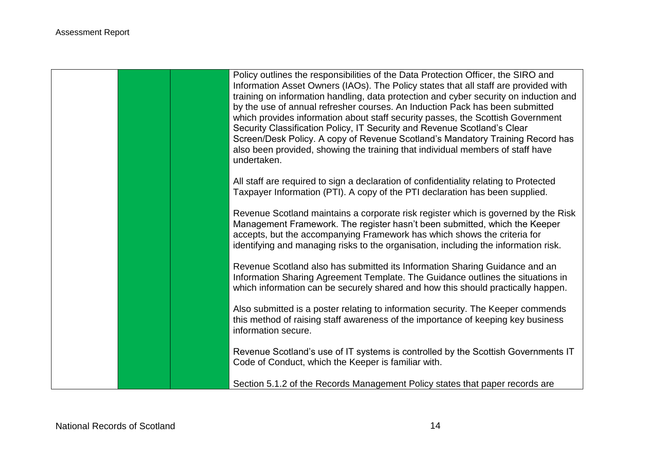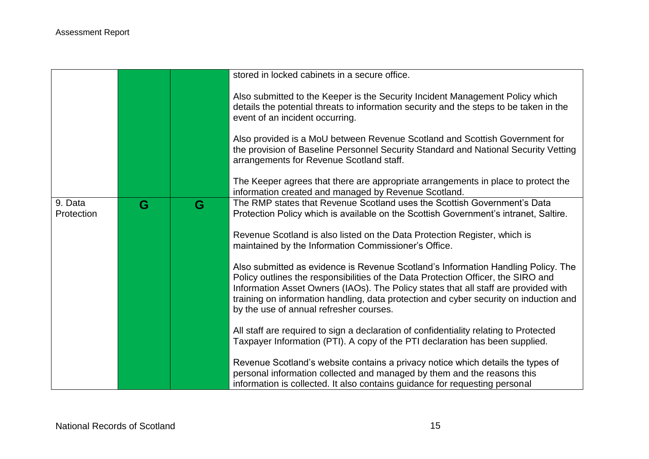|                       |   |   | stored in locked cabinets in a secure office.                                                                                                                                                                                                                                                                                                                                                     |
|-----------------------|---|---|---------------------------------------------------------------------------------------------------------------------------------------------------------------------------------------------------------------------------------------------------------------------------------------------------------------------------------------------------------------------------------------------------|
|                       |   |   | Also submitted to the Keeper is the Security Incident Management Policy which<br>details the potential threats to information security and the steps to be taken in the<br>event of an incident occurring.                                                                                                                                                                                        |
|                       |   |   | Also provided is a MoU between Revenue Scotland and Scottish Government for<br>the provision of Baseline Personnel Security Standard and National Security Vetting<br>arrangements for Revenue Scotland staff.                                                                                                                                                                                    |
|                       |   |   | The Keeper agrees that there are appropriate arrangements in place to protect the<br>information created and managed by Revenue Scotland.                                                                                                                                                                                                                                                         |
| 9. Data<br>Protection | G | G | The RMP states that Revenue Scotland uses the Scottish Government's Data<br>Protection Policy which is available on the Scottish Government's intranet, Saltire.                                                                                                                                                                                                                                  |
|                       |   |   | Revenue Scotland is also listed on the Data Protection Register, which is<br>maintained by the Information Commissioner's Office.                                                                                                                                                                                                                                                                 |
|                       |   |   | Also submitted as evidence is Revenue Scotland's Information Handling Policy. The<br>Policy outlines the responsibilities of the Data Protection Officer, the SIRO and<br>Information Asset Owners (IAOs). The Policy states that all staff are provided with<br>training on information handling, data protection and cyber security on induction and<br>by the use of annual refresher courses. |
|                       |   |   | All staff are required to sign a declaration of confidentiality relating to Protected<br>Taxpayer Information (PTI). A copy of the PTI declaration has been supplied.                                                                                                                                                                                                                             |
|                       |   |   | Revenue Scotland's website contains a privacy notice which details the types of<br>personal information collected and managed by them and the reasons this<br>information is collected. It also contains guidance for requesting personal                                                                                                                                                         |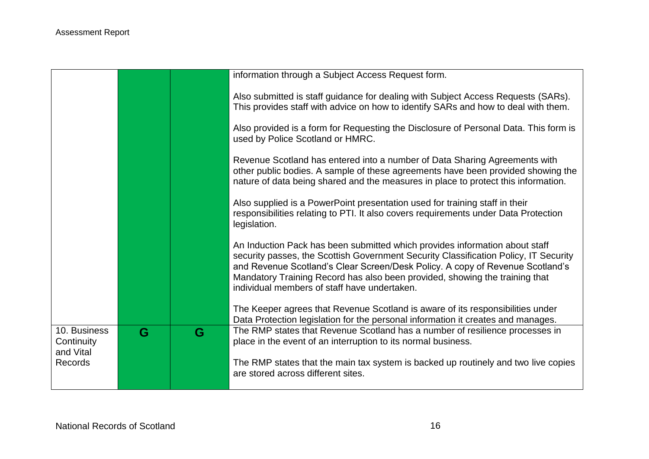|                                         |   |   | information through a Subject Access Request form.                                                                                                                                                                                                                                                                                                                                  |
|-----------------------------------------|---|---|-------------------------------------------------------------------------------------------------------------------------------------------------------------------------------------------------------------------------------------------------------------------------------------------------------------------------------------------------------------------------------------|
|                                         |   |   | Also submitted is staff guidance for dealing with Subject Access Requests (SARs).<br>This provides staff with advice on how to identify SARs and how to deal with them.                                                                                                                                                                                                             |
|                                         |   |   | Also provided is a form for Requesting the Disclosure of Personal Data. This form is<br>used by Police Scotland or HMRC.                                                                                                                                                                                                                                                            |
|                                         |   |   | Revenue Scotland has entered into a number of Data Sharing Agreements with<br>other public bodies. A sample of these agreements have been provided showing the<br>nature of data being shared and the measures in place to protect this information.                                                                                                                                |
|                                         |   |   | Also supplied is a PowerPoint presentation used for training staff in their<br>responsibilities relating to PTI. It also covers requirements under Data Protection<br>legislation.                                                                                                                                                                                                  |
|                                         |   |   | An Induction Pack has been submitted which provides information about staff<br>security passes, the Scottish Government Security Classification Policy, IT Security<br>and Revenue Scotland's Clear Screen/Desk Policy. A copy of Revenue Scotland's<br>Mandatory Training Record has also been provided, showing the training that<br>individual members of staff have undertaken. |
|                                         |   |   | The Keeper agrees that Revenue Scotland is aware of its responsibilities under<br>Data Protection legislation for the personal information it creates and manages.                                                                                                                                                                                                                  |
| 10. Business<br>Continuity<br>and Vital | G | G | The RMP states that Revenue Scotland has a number of resilience processes in<br>place in the event of an interruption to its normal business.                                                                                                                                                                                                                                       |
| <b>Records</b>                          |   |   | The RMP states that the main tax system is backed up routinely and two live copies<br>are stored across different sites.                                                                                                                                                                                                                                                            |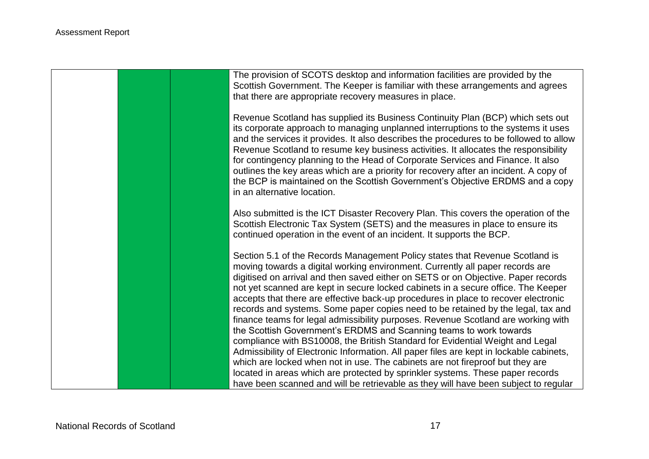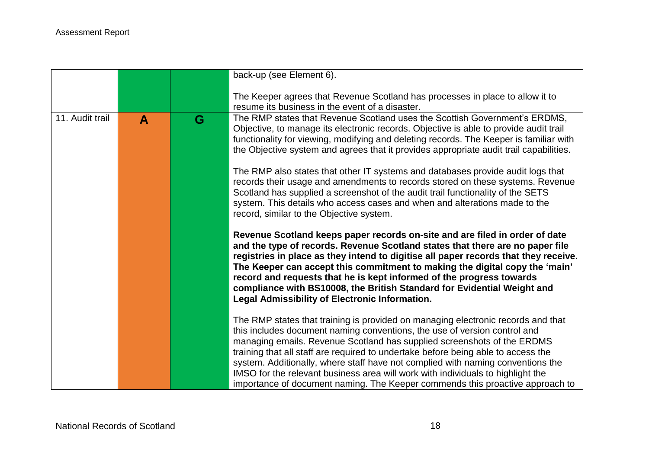|                 |   |   | back-up (see Element 6).                                                                                                                                                                                                                                                                                                                                                                                                                                                                                                                                                             |
|-----------------|---|---|--------------------------------------------------------------------------------------------------------------------------------------------------------------------------------------------------------------------------------------------------------------------------------------------------------------------------------------------------------------------------------------------------------------------------------------------------------------------------------------------------------------------------------------------------------------------------------------|
|                 |   |   | The Keeper agrees that Revenue Scotland has processes in place to allow it to<br>resume its business in the event of a disaster.                                                                                                                                                                                                                                                                                                                                                                                                                                                     |
| 11. Audit trail | A | G | The RMP states that Revenue Scotland uses the Scottish Government's ERDMS,<br>Objective, to manage its electronic records. Objective is able to provide audit trail<br>functionality for viewing, modifying and deleting records. The Keeper is familiar with<br>the Objective system and agrees that it provides appropriate audit trail capabilities.                                                                                                                                                                                                                              |
|                 |   |   | The RMP also states that other IT systems and databases provide audit logs that<br>records their usage and amendments to records stored on these systems. Revenue<br>Scotland has supplied a screenshot of the audit trail functionality of the SETS<br>system. This details who access cases and when and alterations made to the<br>record, similar to the Objective system.                                                                                                                                                                                                       |
|                 |   |   | Revenue Scotland keeps paper records on-site and are filed in order of date<br>and the type of records. Revenue Scotland states that there are no paper file<br>registries in place as they intend to digitise all paper records that they receive.<br>The Keeper can accept this commitment to making the digital copy the 'main'<br>record and requests that he is kept informed of the progress towards<br>compliance with BS10008, the British Standard for Evidential Weight and<br>Legal Admissibility of Electronic Information.                                              |
|                 |   |   | The RMP states that training is provided on managing electronic records and that<br>this includes document naming conventions, the use of version control and<br>managing emails. Revenue Scotland has supplied screenshots of the ERDMS<br>training that all staff are required to undertake before being able to access the<br>system. Additionally, where staff have not complied with naming conventions the<br>IMSO for the relevant business area will work with individuals to highlight the<br>importance of document naming. The Keeper commends this proactive approach to |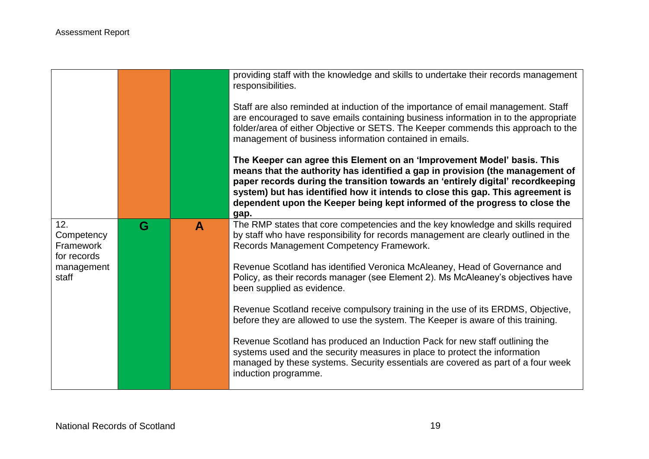|                                                                      |   |   | providing staff with the knowledge and skills to undertake their records management<br>responsibilities.<br>Staff are also reminded at induction of the importance of email management. Staff<br>are encouraged to save emails containing business information in to the appropriate<br>folder/area of either Objective or SETS. The Keeper commends this approach to the<br>management of business information contained in emails.<br>The Keeper can agree this Element on an 'Improvement Model' basis. This<br>means that the authority has identified a gap in provision (the management of<br>paper records during the transition towards an 'entirely digital' recordkeeping<br>system) but has identified how it intends to close this gap. This agreement is<br>dependent upon the Keeper being kept informed of the progress to close the<br>gap.         |
|----------------------------------------------------------------------|---|---|---------------------------------------------------------------------------------------------------------------------------------------------------------------------------------------------------------------------------------------------------------------------------------------------------------------------------------------------------------------------------------------------------------------------------------------------------------------------------------------------------------------------------------------------------------------------------------------------------------------------------------------------------------------------------------------------------------------------------------------------------------------------------------------------------------------------------------------------------------------------|
| 12.<br>Competency<br>Framework<br>for records<br>management<br>staff | G | A | The RMP states that core competencies and the key knowledge and skills required<br>by staff who have responsibility for records management are clearly outlined in the<br>Records Management Competency Framework.<br>Revenue Scotland has identified Veronica McAleaney, Head of Governance and<br>Policy, as their records manager (see Element 2). Ms McAleaney's objectives have<br>been supplied as evidence.<br>Revenue Scotland receive compulsory training in the use of its ERDMS, Objective,<br>before they are allowed to use the system. The Keeper is aware of this training.<br>Revenue Scotland has produced an Induction Pack for new staff outlining the<br>systems used and the security measures in place to protect the information<br>managed by these systems. Security essentials are covered as part of a four week<br>induction programme. |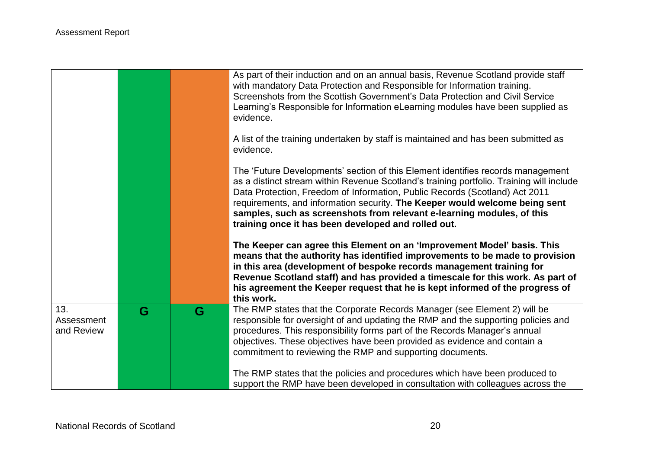|                                 |   |   | As part of their induction and on an annual basis, Revenue Scotland provide staff<br>with mandatory Data Protection and Responsible for Information training.<br>Screenshots from the Scottish Government's Data Protection and Civil Service<br>Learning's Responsible for Information eLearning modules have been supplied as<br>evidence.                                                                                                                               |
|---------------------------------|---|---|----------------------------------------------------------------------------------------------------------------------------------------------------------------------------------------------------------------------------------------------------------------------------------------------------------------------------------------------------------------------------------------------------------------------------------------------------------------------------|
|                                 |   |   | A list of the training undertaken by staff is maintained and has been submitted as<br>evidence.                                                                                                                                                                                                                                                                                                                                                                            |
|                                 |   |   | The 'Future Developments' section of this Element identifies records management<br>as a distinct stream within Revenue Scotland's training portfolio. Training will include<br>Data Protection, Freedom of Information, Public Records (Scotland) Act 2011<br>requirements, and information security. The Keeper would welcome being sent<br>samples, such as screenshots from relevant e-learning modules, of this<br>training once it has been developed and rolled out. |
|                                 |   |   | The Keeper can agree this Element on an 'Improvement Model' basis. This<br>means that the authority has identified improvements to be made to provision<br>in this area (development of bespoke records management training for<br>Revenue Scotland staff) and has provided a timescale for this work. As part of<br>his agreement the Keeper request that he is kept informed of the progress of<br>this work.                                                            |
| 13.<br>Assessment<br>and Review | G | G | The RMP states that the Corporate Records Manager (see Element 2) will be<br>responsible for oversight of and updating the RMP and the supporting policies and<br>procedures. This responsibility forms part of the Records Manager's annual<br>objectives. These objectives have been provided as evidence and contain a<br>commitment to reviewing the RMP and supporting documents.<br>The RMP states that the policies and procedures which have been produced to      |
|                                 |   |   | support the RMP have been developed in consultation with colleagues across the                                                                                                                                                                                                                                                                                                                                                                                             |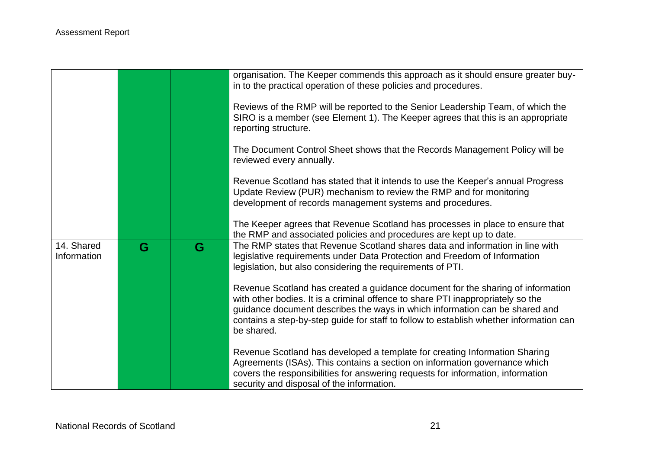|                           |   |   | organisation. The Keeper commends this approach as it should ensure greater buy-<br>in to the practical operation of these policies and procedures.                                                                                                                                                                                                       |
|---------------------------|---|---|-----------------------------------------------------------------------------------------------------------------------------------------------------------------------------------------------------------------------------------------------------------------------------------------------------------------------------------------------------------|
|                           |   |   | Reviews of the RMP will be reported to the Senior Leadership Team, of which the<br>SIRO is a member (see Element 1). The Keeper agrees that this is an appropriate<br>reporting structure.                                                                                                                                                                |
|                           |   |   | The Document Control Sheet shows that the Records Management Policy will be<br>reviewed every annually.                                                                                                                                                                                                                                                   |
|                           |   |   | Revenue Scotland has stated that it intends to use the Keeper's annual Progress<br>Update Review (PUR) mechanism to review the RMP and for monitoring<br>development of records management systems and procedures.                                                                                                                                        |
|                           |   |   | The Keeper agrees that Revenue Scotland has processes in place to ensure that<br>the RMP and associated policies and procedures are kept up to date.                                                                                                                                                                                                      |
| 14. Shared<br>Information | G | G | The RMP states that Revenue Scotland shares data and information in line with<br>legislative requirements under Data Protection and Freedom of Information<br>legislation, but also considering the requirements of PTI.                                                                                                                                  |
|                           |   |   | Revenue Scotland has created a guidance document for the sharing of information<br>with other bodies. It is a criminal offence to share PTI inappropriately so the<br>guidance document describes the ways in which information can be shared and<br>contains a step-by-step guide for staff to follow to establish whether information can<br>be shared. |
|                           |   |   | Revenue Scotland has developed a template for creating Information Sharing<br>Agreements (ISAs). This contains a section on information governance which<br>covers the responsibilities for answering requests for information, information<br>security and disposal of the information.                                                                  |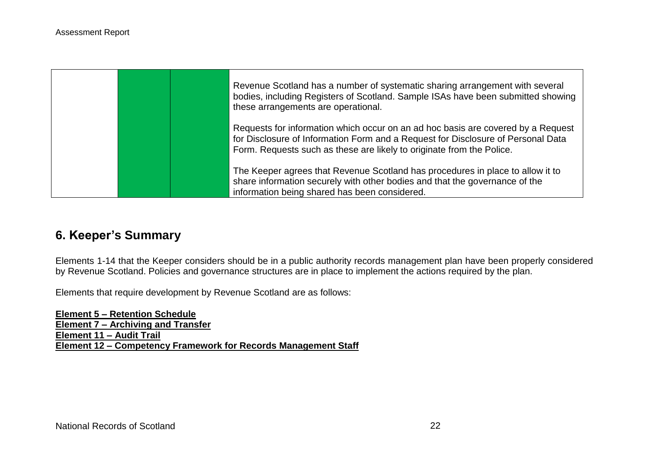

# **6. Keeper's Summary**

Elements 1-14 that the Keeper considers should be in a public authority records management plan have been properly considered by Revenue Scotland. Policies and governance structures are in place to implement the actions required by the plan.

Elements that require development by Revenue Scotland are as follows:

**Element 5 – Retention Schedule Element 7 – Archiving and Transfer Element 11 – Audit Trail Element 12 – Competency Framework for Records Management Staff**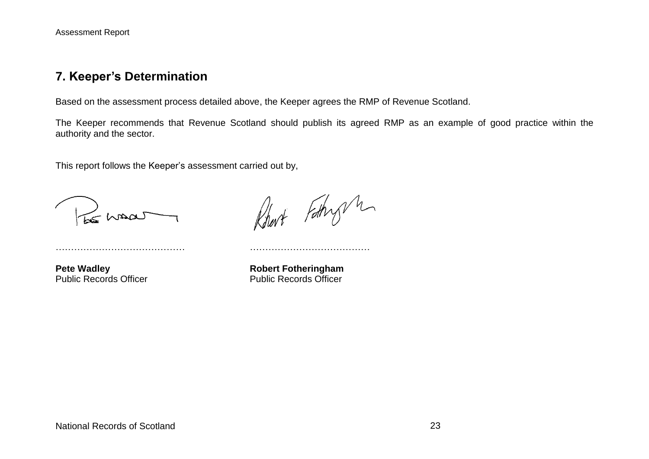#### **7. Keeper's Determination**

Based on the assessment process detailed above, the Keeper agrees the RMP of Revenue Scotland.

The Keeper recommends that Revenue Scotland should publish its agreed RMP as an example of good practice within the authority and the sector.

This report follows the Keeper's assessment carried out by,

…………………………………… …………………………………

Le maas

Robert Fothy M

**Pete Wadley <b>Robert Fotheringham** Public Records Officer **Public Records Officer** Public Records Officer